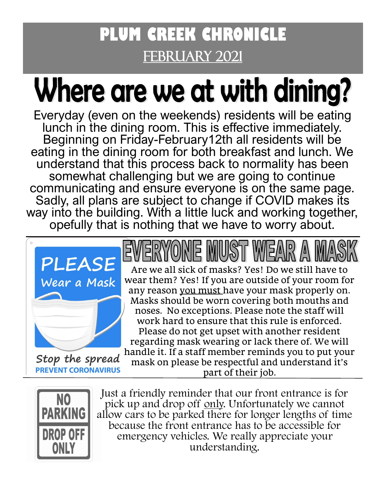### **PLUM CREEK CHRONICLE**  FEBRUARY 2021

# Where are we at with dining?

Everyday (even on the weekends) residents will be eating lunch in the dining room. This is effective immediately. Beginning on Friday-February12th all residents will be eating in the dining room for both breakfast and lunch. We understand that this process back to normality has been somewhat challenging but we are going to continue communicating and ensure everyone is on the same page. Sadly, all plans are subject to change if COVID makes its way into the building. With a little luck and working together, opefully that is nothing that we have to worry about.



Stop the spread **PREVENT CORONAVIRUS** 

Are we all sick of masks? Yes! Do we still have to wear them? Yes! If you are outside of your room for any reason you must have your mask properly on. Masks should be worn covering both mouths and noses. No exceptions. Please note the staff will work hard to ensure that this rule is enforced. Please do not get upset with another resident regarding mask wearing or lack there of. We will handle it. If a staff member reminds you to put your

mask on please be respectful and understand it's part of their job.



Just a friendly reminder that our front entrance is for pick up and drop off only. Unfortunately we cannot [a](http://www.google.com/url?sa=i&rct=j&q=&esrc=s&frm=1&source=images&cd=&cad=rja&docid=5g3195tpuu8zfM&tbnid=qdCZ5hZCdLFTxM:&ved=0CAUQjRw&url=http%3A%2F%2Fsalagraphics.com%2Findex.php%3Froute%3Dproduct%2Fproduct%26product_id%3D81&ei=_EvZUrKyCseEyAHTiICoDw&bvm=bv)llow cars to be parked there for longer lengths of time because the front entrance has to be accessible for emergency vehicles. We really appreciate your understanding.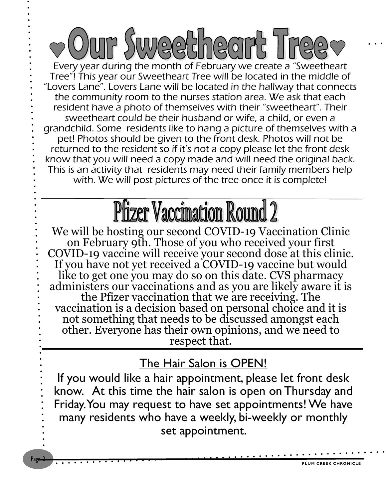um Swyeeth COL Every year during the month of February we create a "Sweetheart Tree"! This year our Sweetheart Tree will be located in the middle of "Lovers Lane". Lovers Lane will be located in the hallway that connects the community room to the nurses station area. We ask that each resident have a photo of themselves with their "sweetheart". Their sweetheart could be their husband or wife, a child, or even a grandchild. Some residents like to hang a picture of themselves with a pet! Photos should be given to the front desk. Photos will not be returned to the resident so if it's not a copy please let the front desk know that you will need a copy made and will need the original back. This is an activity that residents may need their family members help with. We will post pictures of the tree once it is complete!

## **Pfizer Vaccination Round 2**

We will be hosting our second COVID-19 Vaccination Clinic on February 9th. Those of you who received your first COVID-19 vaccine will receive your second dose at this clinic. If you have not yet received a COVID-19 vaccine but would like to get one you may do so on this date. CVS pharmacy administers our vaccinations and as you are likely aware it is the Pfizer vaccination that we are receiving. The vaccination is a decision based on personal choice and it is not something that needs to be discussed amongst each other. Everyone has their own opinions, and we need to respect that.

### The Hair Salon is OPEN!

If you would like a hair appointment, please let front desk know. At this time the hair salon is open on Thursday and Friday. You may request to have set appointments! We have many residents who have a weekly, bi-weekly or monthly set appointment.

Page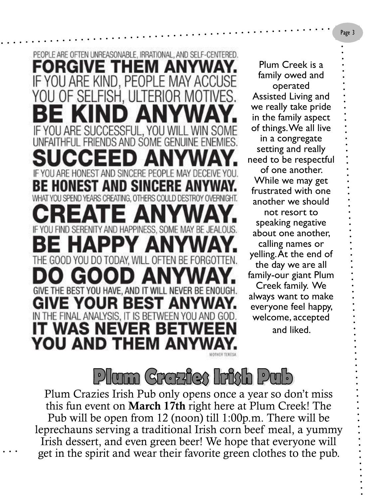PEOPLE ARE OFTEN UNREASONABLE, IRRATIONAL, AND SELF-CENTERED. FORGIVE THEM ANYWA IF YOU ARE KIND. PEOPLE MAY ACCUSE YOU OF SELFISH, ULTERIOR IF YOU ARE SUCCESSFUL. YOU WIL S AND SOME GENUI IF YOU ARE HONEST AND SINCERE PEOPL **BE HONEST AND SINC** WHAT YOU SPEND YEARS CREATING. OTHERS COULD DESTROY OVERNIGHT. C GIVE THE BEST YOU HAVE, AND IT WILL NEVER BE ENOUGH. GIVE YOUR BEST IN THE FINAL ANALYSIS. IT IS BETWEEN Y **WAS** NEVEL YOU AND THEM

Plum Creek is a family owed and operated Assisted Living and we really take pride in the family aspect of things. We all live in a congregate setting and really need to be respectful of one another. While we may get frustrated with one another we should not resort to speaking negative about one another, calling names or yelling. At the end of the day we are all family-our giant Plum Creek family. We always want to make everyone feel happy, welcome, accepted and liked.



Plum Crazies Irish Pub only opens once a year so don't miss this fun event on March 17th right here at Plum Creek! The Pub will be open from 12 (noon) till 1:00p.m. There will be leprechauns serving a traditional Irish corn beef meal, a yummy Irish dessert, and even green beer! We hope that everyone will get in the spirit and wear their favorite green clothes to the pub.